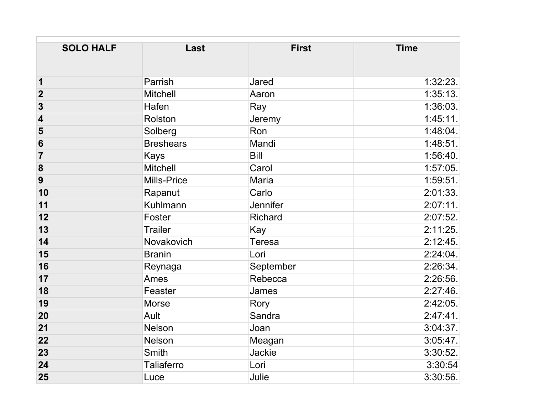| <b>SOLO HALF</b>        | Last              | <b>First</b>   | <b>Time</b> |
|-------------------------|-------------------|----------------|-------------|
| 1                       | Parrish           | Jared          | 1:32:23.    |
| $\boldsymbol{2}$        | <b>Mitchell</b>   | Aaron          | 1:35:13.    |
| $\mathbf{3}$            | Hafen             | Ray            | 1:36:03.    |
| $\overline{\mathbf{4}}$ | Rolston           | Jeremy         | 1:45:11.    |
| 5                       | Solberg           | Ron            | 1:48:04.    |
| 6                       | <b>Breshears</b>  | Mandi          | 1:48:51.    |
| $\overline{7}$          | <b>Kays</b>       | <b>Bill</b>    | 1:56:40.    |
| 8                       | <b>Mitchell</b>   | Carol          | 1:57:05.    |
| 9                       | Mills-Price       | <b>Maria</b>   | 1:59:51.    |
| 10                      | Rapanut           | Carlo          | 2:01:33.    |
| 11                      | Kuhlmann          | Jennifer       | 2:07:11.    |
| 12                      | Foster            | <b>Richard</b> | 2:07:52.    |
| 13                      | <b>Trailer</b>    | Kay            | 2:11:25.    |
| 14                      | Novakovich        | <b>Teresa</b>  | 2:12:45.    |
| 15                      | <b>Branin</b>     | Lori           | 2:24:04.    |
| 16                      | Reynaga           | September      | 2:26:34.    |
| 17                      | Ames              | Rebecca        | 2:26:56.    |
| 18                      | Feaster           | James          | 2:27:46.    |
| 19                      | <b>Morse</b>      | Rory           | 2:42:05.    |
| 20                      | Ault              | Sandra         | 2:47:41.    |
| 21                      | <b>Nelson</b>     | Joan           | 3:04:37.    |
| 22                      | <b>Nelson</b>     | Meagan         | $3:05:47$ . |
| 23                      | Smith             | Jackie         | 3:30:52.    |
| 24                      | <b>Taliaferro</b> | Lori           | 3:30:54     |
| 25                      | Luce              | Julie          | $3:30:56$ . |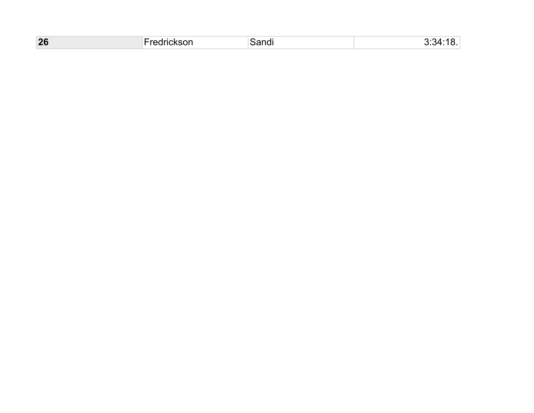| 26 |  |  | ∼ |
|----|--|--|---|
|----|--|--|---|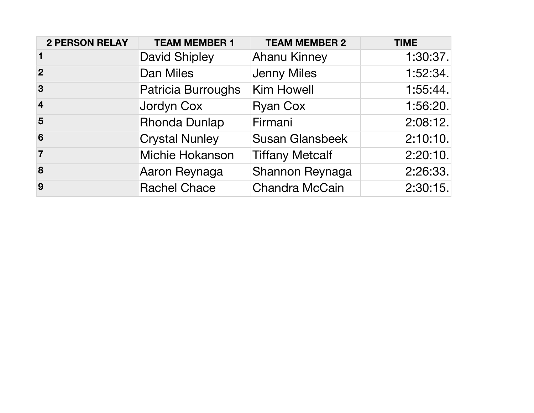| <b>2 PERSON RELAY</b>   | <b>TEAM MEMBER 1</b>   | <b>TEAM MEMBER 2</b>   | <b>TIME</b> |
|-------------------------|------------------------|------------------------|-------------|
| $\vert$ 1               | <b>David Shipley</b>   | <b>Ahanu Kinney</b>    | 1:30:37.    |
| $\overline{2}$          | Dan Miles              | Jenny Miles            | 1:52:34.    |
| $\overline{3}$          | Patricia Burroughs     | <b>Kim Howell</b>      | 1:55:44.    |
| $\overline{4}$          | Jordyn Cox             | <b>Ryan Cox</b>        | 1:56:20.    |
| $\overline{\mathbf{5}}$ | Rhonda Dunlap          | Firmani                | 2:08:12.    |
| 6                       | <b>Crystal Nunley</b>  | <b>Susan Glansbeek</b> | 2:10:10.    |
| $\overline{7}$          | <b>Michie Hokanson</b> | <b>Tiffany Metcalf</b> | 2:20:10.    |
| $\overline{\mathbf{8}}$ | Aaron Reynaga          | Shannon Reynaga        | 2:26:33.    |
| $\overline{9}$          | <b>Rachel Chace</b>    | <b>Chandra McCain</b>  | 2:30:15.    |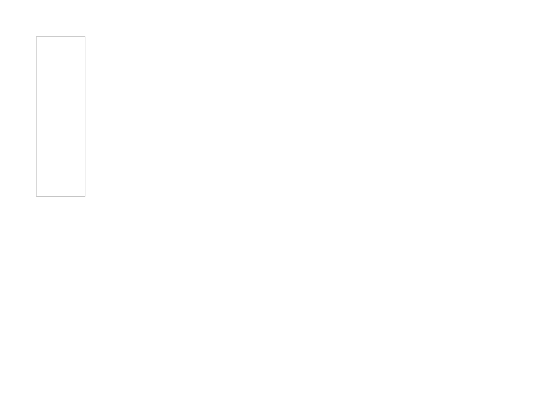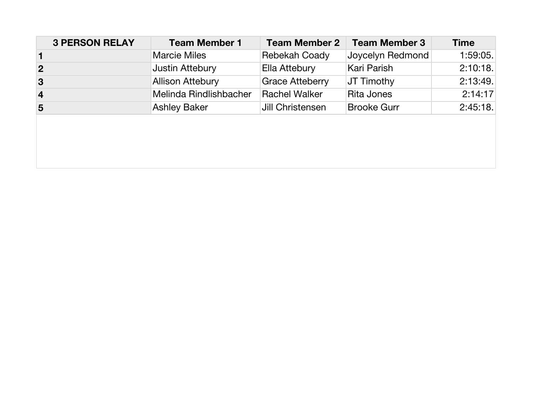| <b>3 PERSON RELAY</b> | <b>Team Member 1</b>    | <b>Team Member 2</b>   | <b>Team Member 3</b> | <b>Time</b> |
|-----------------------|-------------------------|------------------------|----------------------|-------------|
| $\vert$ 1             | <b>Marcie Miles</b>     | Rebekah Coady          | Joycelyn Redmond     | 1:59:05.    |
| $\overline{2}$        | <b>Justin Attebury</b>  | Ella Attebury          | Kari Parish          | 2:10:18.    |
| $\overline{3}$        | <b>Allison Attebury</b> | <b>Grace Atteberry</b> | JT Timothy           | 2:13:49.    |
| $\overline{4}$        | Melinda Rindlishbacher  | <b>Rachel Walker</b>   | Rita Jones           | 2:14:17     |
| $5\overline{5}$       | <b>Ashley Baker</b>     | Jill Christensen       | <b>Brooke Gurr</b>   | 2:45:18.    |
|                       |                         |                        |                      |             |
|                       |                         |                        |                      |             |
|                       |                         |                        |                      |             |
|                       |                         |                        |                      |             |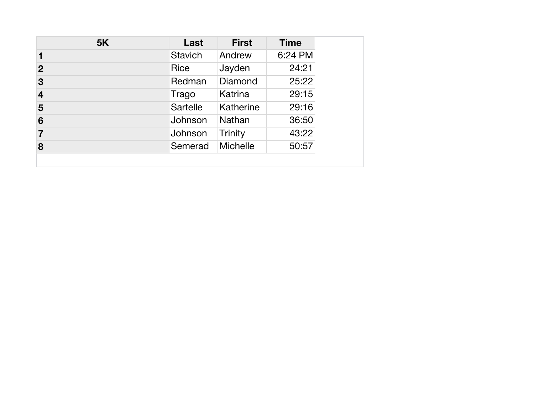| <b>5K</b>               | Last           | <b>First</b>    | <b>Time</b> |
|-------------------------|----------------|-----------------|-------------|
|                         | <b>Stavich</b> | Andrew          | 6:24 PM     |
| $\mathbf{2}$            | <b>Rice</b>    | Jayden          | 24:21       |
| 3                       | Redman         | Diamond         | 25:22       |
| $\overline{\mathbf{4}}$ | Trago          | Katrina         | 29:15       |
| 5                       | Sartelle       | Katherine       | 29:16       |
| 6                       | Johnson        | Nathan          | 36:50       |
|                         | Johnson        | Trinity         | 43:22       |
| 8                       | Semerad        | <b>Michelle</b> | 50:57       |
|                         |                |                 |             |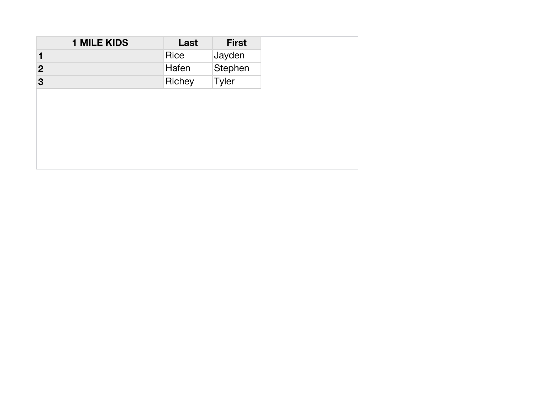|                | <b>1 MILE KIDS</b> | Last   | <b>First</b> |
|----------------|--------------------|--------|--------------|
| 1              |                    | Rice   | Jayden       |
| $\overline{2}$ |                    | Hafen  | Stephen      |
| 3              |                    | Richey | Tyler        |
|                |                    |        |              |
|                |                    |        |              |
|                |                    |        |              |
|                |                    |        |              |
|                |                    |        |              |